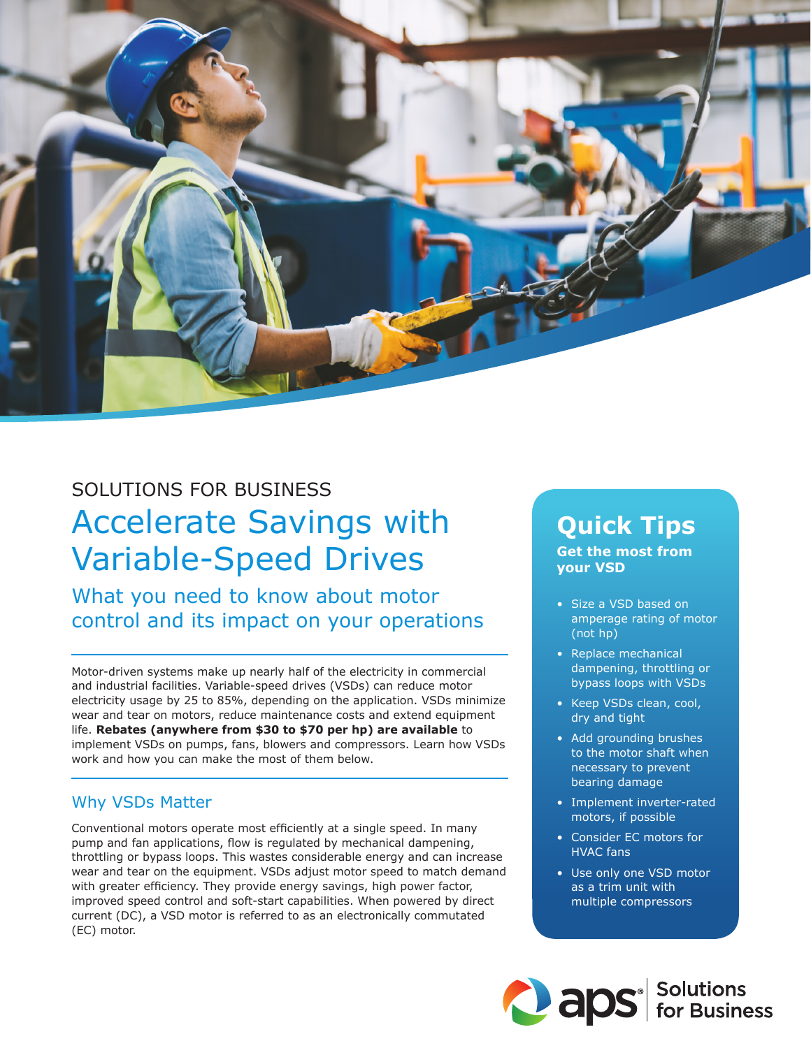

# SOLUTIONS FOR BUSINESS Accelerate Savings with Variable-Speed Drives

What you need to know about motor control and its impact on your operations

Motor-driven systems make up nearly half of the electricity in commercial and industrial facilities. Variable-speed drives (VSDs) can reduce motor electricity usage by 25 to 85%, depending on the application. VSDs minimize wear and tear on motors, reduce maintenance costs and extend equipment life. **Rebates (anywhere from \$30 to \$70 per hp) are available** to implement VSDs on pumps, fans, blowers and compressors. Learn how VSDs work and how you can make the most of them below.

#### Why VSDs Matter

Conventional motors operate most efficiently at a single speed. In many pump and fan applications, flow is regulated by mechanical dampening, throttling or bypass loops. This wastes considerable energy and can increase wear and tear on the equipment. VSDs adjust motor speed to match demand with greater efficiency. They provide energy savings, high power factor, improved speed control and soft-start capabilities. When powered by direct current (DC), a VSD motor is referred to as an electronically commutated (EC) motor.

## **Quick Tips**

**Get the most from your VSD** 

- Size a VSD based on amperage rating of motor (not hp)
- Replace mechanical dampening, throttling or bypass loops with VSDs
- Keep VSDs clean, cool, dry and tight
- Add grounding brushes to the motor shaft when necessary to prevent bearing damage
- Implement inverter-rated motors, if possible
- Consider EC motors for HVAC fans
- Use only one VSD motor as a trim unit with multiple compressors